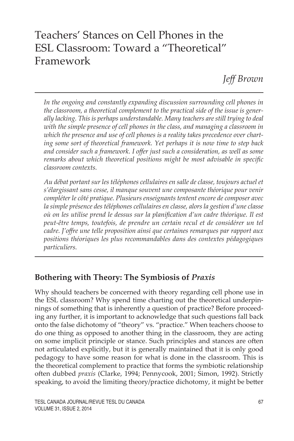# Teachers' Stances on Cell Phones in the ESL Classroom: Toward a "Theoretical" Framework

*Jeff Brown*

In the ongoing and constantly expanding discussion surrounding cell phones in *the classroom, a theoretical complement to the practical side of the issue is generally lacking. This is perhaps understandable. Many teachers are still trying to deal with the simple presence of cell phones in the class, and managing a classroom in which the presence and use of cell phones is a reality takes precedence over charting some sort of theoretical framework. Yet perhaps it is now time to step back and consider such a framework. I offer just such a consideration, as well as some remarks about which theoretical positions might be most advisable in specific classroom contexts.*

*Au débat portant sur les téléphones cellulaires en salle de classe, toujours actuel et s'élargissant sans cesse, il manque souvent une composante théorique pour venir compléter le côté pratique. Plusieurs enseignants tentent encore de composer avec la simple présence des téléphones cellulaires en classe, alors la gestion d'une classe où on les utilise prend le dessus sur la planification d'un cadre théorique. Il est peut-être temps, toutefois, de prendre un certain recul et de considérer un tel cadre. J'offre une telle proposition ainsi que certaines remarques par rapport aux positions théoriques les plus recommandables dans des contextes pédagogiques particuliers.*

# **Bothering with Theory: The Symbiosis of** *Praxis*

Why should teachers be concerned with theory regarding cell phone use in the ESL classroom? Why spend time charting out the theoretical underpinnings of something that is inherently a question of practice? Before proceeding any further, it is important to acknowledge that such questions fall back onto the false dichotomy of "theory" vs. "practice." When teachers choose to do one thing as opposed to another thing in the classroom, they are acting on some implicit principle or stance. Such principles and stances are often not articulated explicitly, but it is generally maintained that it is only good pedagogy to have some reason for what is done in the classroom. This is the theoretical complement to practice that forms the symbiotic relationship often dubbed *praxis* (Clarke, 1994; Pennycook, 2001; Simon, 1992). Strictly speaking, to avoid the limiting theory/practice dichotomy, it might be better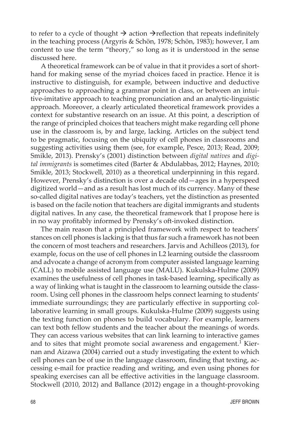to refer to a cycle of thought  $\rightarrow$  action  $\rightarrow$  reflection that repeats indefinitely in the teaching process (Argyris & Schön, 1978; Schön, 1983); however, I am content to use the term "theory," so long as it is understood in the sense discussed here.

A theoretical framework can be of value in that it provides a sort of shorthand for making sense of the myriad choices faced in practice. Hence it is instructive to distinguish, for example, between inductive and deductive approaches to approaching a grammar point in class, or between an intuitive-imitative approach to teaching pronunciation and an analytic-linguistic approach. Moreover, a clearly articulated theoretical framework provides a context for substantive research on an issue. At this point, a description of the range of principled choices that teachers might make regarding cell phone use in the classroom is, by and large, lacking. Articles on the subject tend to be pragmatic, focusing on the ubiquity of cell phones in classrooms and suggesting activities using them (see, for example, Pesce, 2013; Read, 2009; Smikle, 2013). Prensky's (2001) distinction between *digital natives* and *digital immigrants* is sometimes cited (Barter & Abdulabbas, 2012; Haynes, 2010; Smikle, 2013; Stockwell, 2010) as a theoretical underpinning in this regard. However, Prensky's distinction is over a decade old—ages in a hyperspeed digitized world—and as a result has lost much of its currency. Many of these so-called digital natives are today's teachers, yet the distinction as presented is based on the facile notion that teachers are digital immigrants and students digital natives. In any case, the theoretical framework that I propose here is in no way profitably informed by Prensky's oft-invoked distinction.

The main reason that a principled framework with respect to teachers' stances on cell phones is lacking is that thus far such a framework has not been the concern of most teachers and researchers. Jarvis and Achilleos (2013), for example, focus on the use of cell phones in L2 learning outside the classroom and advocate a change of acronym from computer assisted language learning (CALL) to mobile assisted language use (MALU). Kukulska-Hulme (2009) examines the usefulness of cell phones in task-based learning, specifically as a way of linking what is taught in the classroom to learning outside the classroom. Using cell phones in the classroom helps connect learning to students' immediate surroundings; they are particularly effective in supporting collaborative learning in small groups. Kukulska-Hulme (2009) suggests using the texting function on phones to build vocabulary. For example, learners can text both fellow students and the teacher about the meanings of words. They can access various websites that can link learning to interactive games and to sites that might promote social awareness and engagement.<sup>1</sup> Kiernan and Aizawa (2004) carried out a study investigating the extent to which cell phones can be of use in the language classroom, finding that texting, accessing e-mail for practice reading and writing, and even using phones for speaking exercises can all be effective activities in the language classroom. Stockwell (2010, 2012) and Ballance (2012) engage in a thought-provoking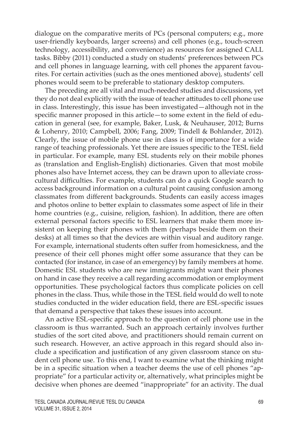dialogue on the comparative merits of PCs (personal computers; e.g., more user-friendly keyboards, larger screens) and cell phones (e.g., touch-screen technology, accessibility, and convenience) as resources for assigned CALL tasks. Bibby (2011) conducted a study on students' preferences between PCs and cell phones in language learning, with cell phones the apparent favourites. For certain activities (such as the ones mentioned above), students' cell phones would seem to be preferable to stationary desktop computers.

The preceding are all vital and much-needed studies and discussions, yet they do not deal explicitly with the issue of teacher attitudes to cell phone use in class. Interestingly, this issue has been investigated—although not in the specific manner proposed in this article—to some extent in the field of education in general (see, for example, Baker, Lusk, & Neuhauser, 2012; Burns & Lohenry, 2010; Campbell, 2006; Fang, 2009; Tindell & Bohlander, 2012). Clearly, the issue of mobile phone use in class is of importance for a wide range of teaching professionals. Yet there are issues specific to the TESL field in particular. For example, many ESL students rely on their mobile phones as (translation and English-English) dictionaries. Given that most mobile phones also have Internet access, they can be drawn upon to alleviate crosscultural difficulties. For example, students can do a quick Google search to access background information on a cultural point causing confusion among classmates from different backgrounds. Students can easily access images and photos online to better explain to classmates some aspect of life in their home countries (e.g., cuisine, religion, fashion). In addition, there are often external personal factors specific to ESL learners that make them more insistent on keeping their phones with them (perhaps beside them on their desks) at all times so that the devices are within visual and auditory range. For example, international students often suffer from homesickness, and the presence of their cell phones might offer some assurance that they can be contacted (for instance, in case of an emergency) by family members at home. Domestic ESL students who are new immigrants might want their phones on hand in case they receive a call regarding accommodation or employment opportunities. These psychological factors thus complicate policies on cell phones in the class. Thus, while those in the TESL field would do well to note studies conducted in the wider education field, there are ESL-specific issues that demand a perspective that takes these issues into account.

An active ESL-specific approach to the question of cell phone use in the classroom is thus warranted. Such an approach certainly involves further studies of the sort cited above, and practitioners should remain current on such research. However, an active approach in this regard should also include a specification and justification of any given classroom stance on student cell phone use. To this end, I want to examine what the thinking might be in a specific situation when a teacher deems the use of cell phones "appropriate" for a particular activity or, alternatively, what principles might be decisive when phones are deemed "inappropriate" for an activity. The dual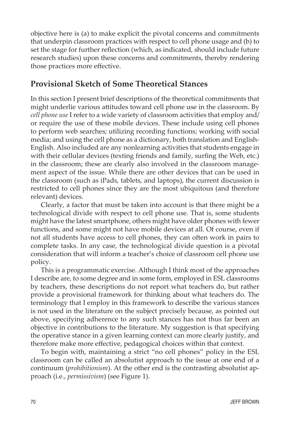objective here is (a) to make explicit the pivotal concerns and commitments that underpin classroom practices with respect to cell phone usage and (b) to set the stage for further reflection (which, as indicated, should include future research studies) upon these concerns and commitments, thereby rendering those practices more effective.

### **Provisional Sketch of Some Theoretical Stances**

In this section I present brief descriptions of the theoretical commitments that might underlie various attitudes toward cell phone use in the classroom. By *cell phone use* I refer to a wide variety of classroom activities that employ and/ or require the use of these mobile devices. These include using cell phones to perform web searches; utilizing recording functions; working with social media; and using the cell phone as a dictionary, both translation and English-English. Also included are any nonlearning activities that students engage in with their cellular devices (texting friends and family, surfing the Web, etc.) in the classroom; these are clearly also involved in the classroom management aspect of the issue. While there are other devices that can be used in the classroom (such as iPads, tablets, and laptops), the current discussion is restricted to cell phones since they are the most ubiquitous (and therefore relevant) devices.

Clearly, a factor that must be taken into account is that there might be a technological divide with respect to cell phone use. That is, some students might have the latest smartphone, others might have older phones with fewer functions, and some might not have mobile devices at all. Of course, even if not all students have access to cell phones, they can often work in pairs to complete tasks. In any case, the technological divide question is a pivotal consideration that will inform a teacher's choice of classroom cell phone use policy.

This is a programmatic exercise. Although I think most of the approaches I describe are, to some degree and in some form, employed in ESL classrooms by teachers, these descriptions do not report what teachers do, but rather provide a provisional framework for thinking about what teachers do. The terminology that I employ in this framework to describe the various stances is not used in the literature on the subject precisely because, as pointed out above, specifying adherence to any such stances has not thus far been an objective in contributions to the literature. My suggestion is that specifying the operative stance in a given learning context can more clearly justify, and therefore make more effective, pedagogical choices within that context.

To begin with, maintaining a strict "no cell phones" policy in the ESL classroom can be called an absolutist approach to the issue at one end of a continuum (*prohibitionism*). At the other end is the contrasting absolutist approach (i.e., *permissivism*) (see Figure 1).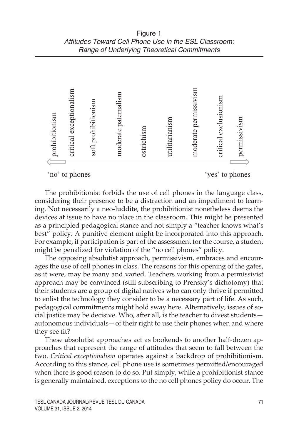

The prohibitionist forbids the use of cell phones in the language class, considering their presence to be a distraction and an impediment to learning. Not necessarily a neo-luddite, the prohibitionist nonetheless deems the devices at issue to have no place in the classroom. This might be presented as a principled pedagogical stance and not simply a "teacher knows what's best" policy. A punitive element might be incorporated into this approach. For example, if participation is part of the assessment for the course, a student might be penalized for violation of the "no cell phones" policy.

The opposing absolutist approach, permissivism, embraces and encourages the use of cell phones in class. The reasons for this opening of the gates, as it were, may be many and varied. Teachers working from a permissivist approach may be convinced (still subscribing to Prensky's dichotomy) that their students are a group of digital natives who can only thrive if permitted to enlist the technology they consider to be a necessary part of life. As such, pedagogical commitments might hold sway here. Alternatively, issues of social justice may be decisive. Who, after all, is the teacher to divest students autonomous individuals—of their right to use their phones when and where they see fit?

These absolutist approaches act as bookends to another half-dozen approaches that represent the range of attitudes that seem to fall between the two. *Critical exceptionalism* operates against a backdrop of prohibitionism. According to this stance, cell phone use is sometimes permitted/encouraged when there is good reason to do so. Put simply, while a prohibitionist stance is generally maintained, exceptions to the no cell phones policy do occur. The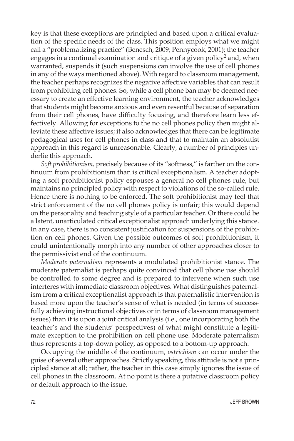key is that these exceptions are principled and based upon a critical evaluation of the specific needs of the class. This position employs what we might call a "problematizing practice" (Benesch, 2009; Pennycook, 2001); the teacher engages in a continual examination and critique of a given policy<sup>2</sup> and, when warranted, suspends it (such suspensions can involve the use of cell phones in any of the ways mentioned above). With regard to classroom management, the teacher perhaps recognizes the negative affective variables that can result from prohibiting cell phones. So, while a cell phone ban may be deemed necessary to create an effective learning environment, the teacher acknowledges that students might become anxious and even resentful because of separation from their cell phones, have difficulty focusing, and therefore learn less effectively. Allowing for exceptions to the no cell phones policy then might alleviate these affective issues; it also acknowledges that there can be legitimate pedagogical uses for cell phones in class and that to maintain an absolutist approach in this regard is unreasonable. Clearly, a number of principles underlie this approach.

*Soft prohibitionism,* precisely because of its "softness," is farther on the continuum from prohibitionism than is critical exceptionalism. A teacher adopting a soft prohibitionist policy espouses a general no cell phones rule, but maintains no principled policy with respect to violations of the so-called rule. Hence there is nothing to be enforced. The soft prohibitionist may feel that strict enforcement of the no cell phones policy is unfair; this would depend on the personality and teaching style of a particular teacher. Or there could be a latent, unarticulated critical exceptionalist approach underlying this stance. In any case, there is no consistent justification for suspensions of the prohibition on cell phones. Given the possible outcomes of soft prohibitionism, it could unintentionally morph into any number of other approaches closer to the permissivist end of the continuum.

*Moderate paternalism* represents a modulated prohibitionist stance. The moderate paternalist is perhaps quite convinced that cell phone use should be controlled to some degree and is prepared to intervene when such use interferes with immediate classroom objectives. What distinguishes paternalism from a critical exceptionalist approach is that paternalistic intervention is based more upon the teacher's sense of what is needed (in terms of successfully achieving instructional objectives or in terms of classroom management issues) than it is upon a joint critical analysis (i.e., one incorporating both the teacher's and the students' perspectives) of what might constitute a legitimate exception to the prohibition on cell phone use. Moderate paternalism thus represents a top-down policy, as opposed to a bottom-up approach.

Occupying the middle of the continuum, *ostrichism* can occur under the guise of several other approaches. Strictly speaking, this attitude is not a principled stance at all; rather, the teacher in this case simply ignores the issue of cell phones in the classroom. At no point is there a putative classroom policy or default approach to the issue.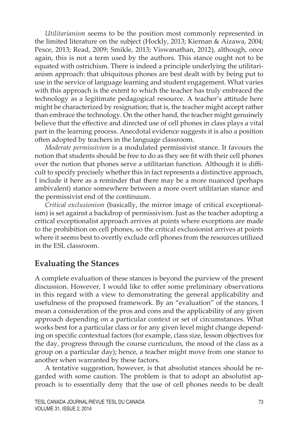*Utilitarianism* seems to be the position most commonly represented in the limited literature on the subject (Hockly, 2013; Kiernan & Aizawa, 2004; Pesce, 2013; Read, 2009; Smikle, 2013; Viswanathan, 2012), although, once again, this is not a term used by the authors. This stance ought not to be equated with ostrichism. There is indeed a principle underlying the utilitarianism approach: that ubiquitous phones are best dealt with by being put to use in the service of language learning and student engagement. What varies with this approach is the extent to which the teacher has truly embraced the technology as a legitimate pedagogical resource. A teacher's attitude here might be characterized by resignation; that is, the teacher might accept rather than embrace the technology. On the other hand, the teacher might genuinely believe that the effective and directed use of cell phones in class plays a vital part in the learning process. Anecdotal evidence suggests it is also a position often adopted by teachers in the language classroom.

*Moderate permissivism* is a modulated permissivist stance. It favours the notion that students should be free to do as they see fit with their cell phones over the notion that phones serve a utilitarian function. Although it is difficult to specify precisely whether this in fact represents a distinctive approach, I include it here as a reminder that there may be a more nuanced (perhaps ambivalent) stance somewhere between a more overt utilitarian stance and the permissivist end of the continuum.

*Critical exclusionism* (basically, the mirror image of critical exceptionalism) is set against a backdrop of permissivism. Just as the teacher adopting a critical exceptionalist approach arrives at points where exceptions are made to the prohibition on cell phones, so the critical exclusionist arrives at points where it seems best to overtly exclude cell phones from the resources utilized in the ESL classroom.

# **Evaluating the Stances**

A complete evaluation of these stances is beyond the purview of the present discussion. However, I would like to offer some preliminary observations in this regard with a view to demonstrating the general applicability and usefulness of the proposed framework. By an "evaluation" of the stances, I mean a consideration of the pros and cons and the applicability of any given approach depending on a particular context or set of circumstances. What works best for a particular class or for any given level might change depending on specific contextual factors (for example, class size, lesson objectives for the day, progress through the course curriculum, the mood of the class as a group on a particular day); hence, a teacher might move from one stance to another when warranted by these factors.

A tentative suggestion, however, is that absolutist stances should be regarded with some caution. The problem is that to adopt an absolutist approach is to essentially deny that the use of cell phones needs to be dealt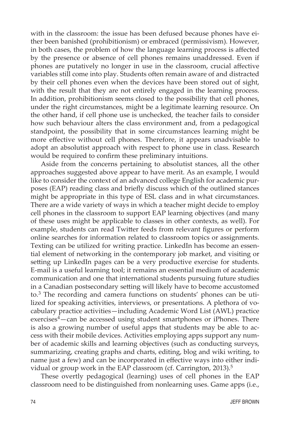with in the classroom: the issue has been defused because phones have either been banished (prohibitionism) or embraced (permissivism). However, in both cases, the problem of how the language learning process is affected by the presence or absence of cell phones remains unaddressed. Even if phones are putatively no longer in use in the classroom, crucial affective variables still come into play. Students often remain aware of and distracted by their cell phones even when the devices have been stored out of sight, with the result that they are not entirely engaged in the learning process. In addition, prohibitionism seems closed to the possibility that cell phones, under the right circumstances, might be a legitimate learning resource. On the other hand, if cell phone use is unchecked, the teacher fails to consider how such behaviour alters the class environment and, from a pedagogical standpoint, the possibility that in some circumstances learning might be more effective without cell phones. Therefore, it appears unadvisable to adopt an absolutist approach with respect to phone use in class. Research would be required to confirm these preliminary intuitions.

Aside from the concerns pertaining to absolutist stances, all the other approaches suggested above appear to have merit. As an example, I would like to consider the context of an advanced college English for academic purposes (EAP) reading class and briefly discuss which of the outlined stances might be appropriate in this type of ESL class and in what circumstances. There are a wide variety of ways in which a teacher might decide to employ cell phones in the classroom to support EAP learning objectives (and many of these uses might be applicable to classes in other contexts, as well). For example, students can read Twitter feeds from relevant figures or perform online searches for information related to classroom topics or assignments. Texting can be utilized for writing practice. LinkedIn has become an essential element of networking in the contemporary job market, and visiting or setting up LinkedIn pages can be a very productive exercise for students. E-mail is a useful learning tool; it remains an essential medium of academic communication and one that international students pursuing future studies in a Canadian postsecondary setting will likely have to become accustomed to.3 The recording and camera functions on students' phones can be utilized for speaking activities, interviews, or presentations. A plethora of vocabulary practice activities—including Academic Word List (AWL) practice  $exercises<sup>4</sup> – can be accessed using student samartphones or iPhones. There$ is also a growing number of useful apps that students may be able to access with their mobile devices. Activities employing apps support any number of academic skills and learning objectives (such as conducting surveys, summarizing, creating graphs and charts, editing, blog and wiki writing, to name just a few) and can be incorporated in effective ways into either individual or group work in the EAP classroom (cf. Carrington, 2013).<sup>5</sup>

These overtly pedagogical (learning) uses of cell phones in the EAP classroom need to be distinguished from nonlearning uses. Game apps (i.e.,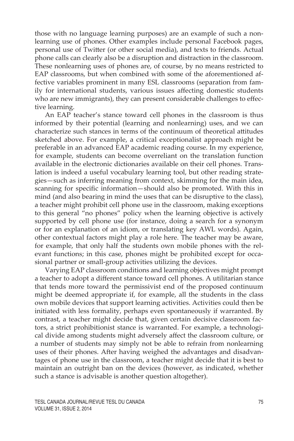those with no language learning purposes) are an example of such a nonlearning use of phones. Other examples include personal Facebook pages, personal use of Twitter (or other social media), and texts to friends. Actual phone calls can clearly also be a disruption and distraction in the classroom. These nonlearning uses of phones are, of course, by no means restricted to EAP classrooms, but when combined with some of the aforementioned affective variables prominent in many ESL classrooms (separation from family for international students, various issues affecting domestic students who are new immigrants), they can present considerable challenges to effective learning.

An EAP teacher's stance toward cell phones in the classroom is thus informed by their potential (learning and nonlearning) uses, and we can characterize such stances in terms of the continuum of theoretical attitudes sketched above. For example, a critical exceptionalist approach might be preferable in an advanced EAP academic reading course. In my experience, for example, students can become overreliant on the translation function available in the electronic dictionaries available on their cell phones. Translation is indeed a useful vocabulary learning tool, but other reading strategies—such as inferring meaning from context, skimming for the main idea, scanning for specific information—should also be promoted. With this in mind (and also bearing in mind the uses that can be disruptive to the class), a teacher might prohibit cell phone use in the classroom, making exceptions to this general "no phones" policy when the learning objective is actively supported by cell phone use (for instance, doing a search for a synonym or for an explanation of an idiom, or translating key AWL words). Again, other contextual factors might play a role here. The teacher may be aware, for example, that only half the students own mobile phones with the relevant functions; in this case, phones might be prohibited except for occasional partner or small-group activities utilizing the devices.

Varying EAP classroom conditions and learning objectives might prompt a teacher to adopt a different stance toward cell phones. A utilitarian stance that tends more toward the permissivist end of the proposed continuum might be deemed appropriate if, for example, all the students in the class own mobile devices that support learning activities. Activities could then be initiated with less formality, perhaps even spontaneously if warranted. By contrast, a teacher might decide that, given certain decisive classroom factors, a strict prohibitionist stance is warranted. For example, a technological divide among students might adversely affect the classroom culture, or a number of students may simply not be able to refrain from nonlearning uses of their phones. After having weighed the advantages and disadvantages of phone use in the classroom, a teacher might decide that it is best to maintain an outright ban on the devices (however, as indicated, whether such a stance is advisable is another question altogether).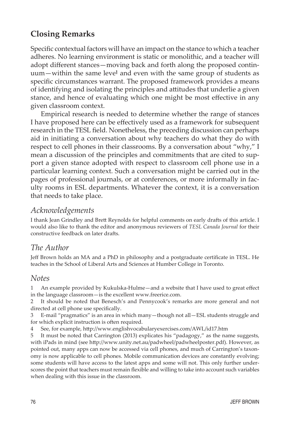# **Closing Remarks**

Specific contextual factors will have an impact on the stance to which a teacher adheres. No learning environment is static or monolithic, and a teacher will adopt different stances—moving back and forth along the proposed continuum—within the same level and even with the same group of students as specific circumstances warrant. The proposed framework provides a means of identifying and isolating the principles and attitudes that underlie a given stance, and hence of evaluating which one might be most effective in any given classroom context.

Empirical research is needed to determine whether the range of stances I have proposed here can be effectively used as a framework for subsequent research in the TESL field. Nonetheless, the preceding discussion can perhaps aid in initiating a conversation about why teachers do what they do with respect to cell phones in their classrooms. By a conversation about "why," I mean a discussion of the principles and commitments that are cited to support a given stance adopted with respect to classroom cell phone use in a particular learning context. Such a conversation might be carried out in the pages of professional journals, or at conferences, or more informally in faculty rooms in ESL departments. Whatever the context, it is a conversation that needs to take place.

### *Acknowledgements*

I thank Jean Grindley and Brett Reynolds for helpful comments on early drafts of this article. I would also like to thank the editor and anonymous reviewers of *TESL Canada Journal* for their constructive feedback on later drafts.

### *The Author*

Jeff Brown holds an MA and a PhD in philosophy and a postgraduate certificate in TESL. He teaches in the School of Liberal Arts and Sciences at Humber College in Toronto.

### *Notes*

1 An example provided by Kukulska-Hulme—and a website that I have used to great effect in the language classroom—is the excellent www.freerice.com.

2 It should be noted that Benesch's and Pennycook's remarks are more general and not directed at cell phone use specifically.

3 E-mail "pragmatics" is an area in which many—though not all—ESL students struggle and for which explicit instruction is often required.

4 See, for example, http://www.englishvocabularyexercises.com/AWL/id17.htm

5 It must be noted that Carrington (2013) explicates his "padagogy," as the name suggests, with iPads in mind (see http://www.unity.net.au/padwheel/padwheelposter.pdf). However, as pointed out, many apps can now be accessed via cell phones, and much of Carrington's taxonomy is now applicable to cell phones. Mobile communication devices are constantly evolving; some students will have access to the latest apps and some will not. This only further underscores the point that teachers must remain flexible and willing to take into account such variables when dealing with this issue in the classroom.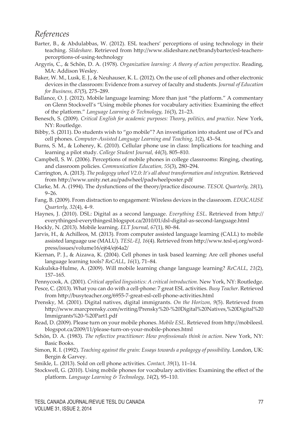#### *References*

- Barter, B., & Abdulabbas, W. (2012). ESL teachers' perceptions of using technology in their teaching. *Slideshare*. Retrieved from http://www.slideshare.net/brandybarter/esl-teachersperceptions-of-using-technology
- Argyris, C., & Schön, D. A. (1978). *Organization learning: A theory of action perspective*. Reading, MA: Addison Wesley.
- Baker, W. M., Lusk, E. J., & Neuhauser, K. L. (2012). On the use of cell phones and other electronic devices in the classroom: Evidence from a survey of faculty and students. *Journal of Education for Business, 87*(5), 275–289.
- Ballance, O. J. (2012). Mobile language learning: More than just "the platform." A commentary on Glenn Stockwell's "Using mobile phones for vocabulary activities: Examining the effect of the platform." *Language Learning & Technology, 16*(3), 21–23.
- Benesch, S. (2009). *Critical English for academic purposes: Theory, politics, and practice.* New York, NY: Routledge.
- Bibby, S. (2011). Do students wish to "go mobile"? An investigation into student use of PCs and cell phones. *Computer-Assisted Language Learning and Teaching, 1*(2), 43–54.
- Burns, S. M., & Lohenry, K. (2010). Cellular phone use in class: Implications for teaching and learning a pilot study. *College Student Journal, 44*(3), 805–810.
- Campbell, S. W. (2006). Perceptions of mobile phones in college classrooms: Ringing, cheating, and classroom policies. *Communication Education, 55*(3), 280–294.
- Carrington, A. (2013). *The pedagogy wheel V2.0: It's all about transformation and integration*. Retrieved from http://www.unity.net.au/padwheel/padwheelposter.pdf
- Clarke, M. A. (1994). The dysfunctions of the theory/practice discourse. *TESOL Quarterly, 28*(1), 9–26.
- Fang, B. (2009). From distraction to engagement: Wireless devices in the classroom. *EDUCAUSE Quarterly, 32*(4), 4–9.
- Haynes, J. (2010). DSL: Digital as a second language. *Everything ESL*. Retrieved from http:// everythingesl-everythingesl.blogspot.ca/2010/01/dsl-digital-as-second-language.html
- Hockly, N. (2013). Mobile learning. *ELT Journal, 67*(1), 80–84.
- Jarvis, H., & Achilleos, M. (2013). From computer assisted language learning (CALL) to mobile assisted language use (MALU). *TESL-EJ, 16*(4). Retrieved from http://www.tesl-ej.org/wordpress/issues/volume16/ej64/ej64a2/
- Kiernan, P. J., & Aizawa, K. (2004). Cell phones in task based learning: Are cell phones useful language learning tools? *ReCALL, 16*(1), 71–84.
- Kukulska-Hulme, A. (2009). Will mobile learning change language learning? *ReCALL, 21*(2), 157–165.
- Pennycook, A. (2001). *Critical applied linguistics: A critical introduction*. New York, NY: Routledge.
- Pesce, C. (2013). What you can do with a cell-phone: 7 great ESL activities. *Busy Teacher*. Retrieved from http://busyteacher.org/6955-7-great-esl-cell-phone-activities.html
- Prensky, M. (2001). Digital natives, digital immigrants. *On the Horizon, 9*(5). Retrieved from http://www.marcprensky.com/writing/Prensky%20-%20Digital%20Natives,%20Digital%20 Immigrants%20-%20Part1.pdf
- Read, D. (2009). Please turn on your mobile phones. *Mobile ESL*. Retrieved from http://mobileesl. blogspot.ca/2009/11/please-turn-on-your-mobile-phones.html
- Schön, D. A. (1983). *The reflective practitioner: How professionals think in action*. New York, NY: Basic Books.
- Simon, R. I. (1992). *Teaching against the grain: Essays towards a pedagogy of possibility.* London, UK: Bergin & Garvey.
- Smikle, L. (2013). Sold on cell phone activities. *Contact, 39*(1), 11–14.
- Stockwell, G. (2010). Using mobile phones for vocabulary activities: Examining the effect of the platform. *Language Learning & Technology, 14*(2), 95–110.

TESL CANADA JOURNAL/REVUE TESL DU CANADA 77 Volume 31, issue 2, 2014